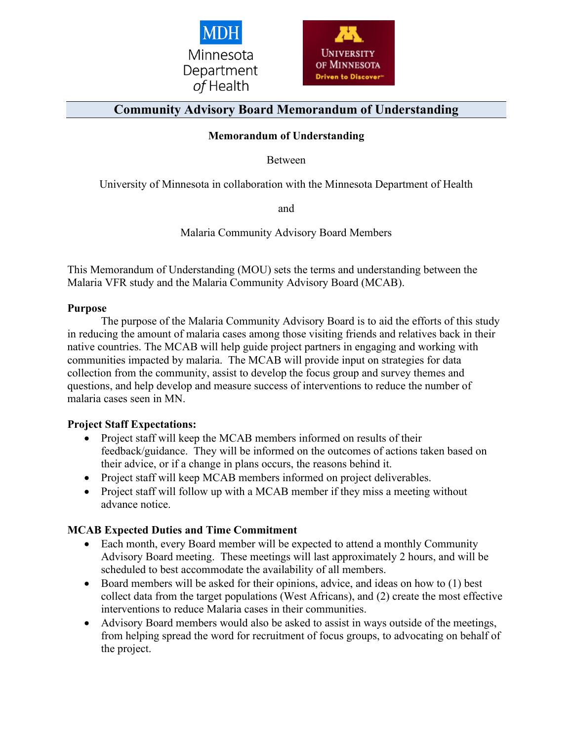



# **Community Advisory Board Memorandum of Understanding**

#### **Memorandum of Understanding**

Between

University of Minnesota in collaboration with the Minnesota Department of Health

and

Malaria Community Advisory Board Members

This Memorandum of Understanding (MOU) sets the terms and understanding between the Malaria VFR study and the Malaria Community Advisory Board (MCAB).

#### **Purpose**

The purpose of the Malaria Community Advisory Board is to aid the efforts of this study in reducing the amount of malaria cases among those visiting friends and relatives back in their native countries. The MCAB will help guide project partners in engaging and working with communities impacted by malaria. The MCAB will provide input on strategies for data collection from the community, assist to develop the focus group and survey themes and questions, and help develop and measure success of interventions to reduce the number of malaria cases seen in MN.

#### **Project Staff Expectations:**

- Project staff will keep the MCAB members informed on results of their feedback/guidance. They will be informed on the outcomes of actions taken based on their advice, or if a change in plans occurs, the reasons behind it.
- Project staff will keep MCAB members informed on project deliverables.
- Project staff will follow up with a MCAB member if they miss a meeting without advance notice.

#### **MCAB Expected Duties and Time Commitment**

- Each month, every Board member will be expected to attend a monthly Community Advisory Board meeting. These meetings will last approximately 2 hours, and will be scheduled to best accommodate the availability of all members.
- Board members will be asked for their opinions, advice, and ideas on how to (1) best collect data from the target populations (West Africans), and (2) create the most effective interventions to reduce Malaria cases in their communities.
- Advisory Board members would also be asked to assist in ways outside of the meetings, from helping spread the word for recruitment of focus groups, to advocating on behalf of the project.